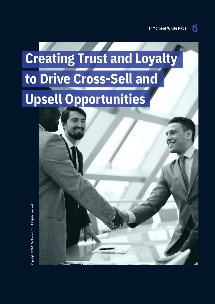n

# **Creating Trust and Loyalty to Drive Cross-Sell and Upsell Opportunities**

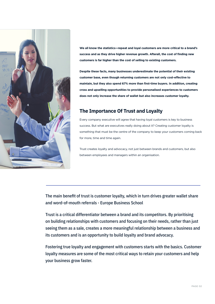

**We all know the statistics—repeat and loyal customers are more critical to a brand's success and as they drive higher revenue growth. Afterall, the cost of finding new customers is far higher than the cost of selling to existing customers.** 

**Despite these facts, many businesses underestimate the potential of their existing customer base, even though returning customers are not only cost-effective to maintain, but they also spend 67% more than first-time buyers. In addition, creating cross and upselling opportunities to provide personalised experiences to customers does not only increase the share of wallet but also increases customer loyalty.** 

### **The Importance Of Trust and Loyalty**

Every company executive will agree that having loyal customers is key to business success. But what are executives really doing about it? Creating customer loyalty is something that must be the centre of the company to keep your customers coming back for more, time and time again.

Trust creates loyalty and advocacy, not just between brands and customers, but also between employees and managers within an organisation.

The main benefit of trust is customer loyalty, which in turn drives greater wallet share and word-of-mouth referrals - Europe Business School

Trust is a critical differentiator between a brand and its competitors. By prioritising on building relationships with customers and focusing on their needs, rather than just seeing them as a sale, creates a more meaningful relationship between a business and its customers and is an opportunity to build loyalty and brand advocacy.

Fostering true loyalty and engagement with customers starts with the basics. Customer loyalty measures are some of the most critical ways to retain your customers and help your business grow faster.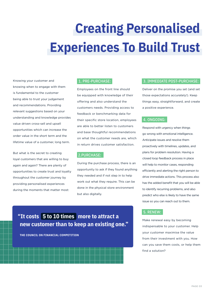# **Creating Personalised Experiences To Build Trust**

Knowing your customer and knowing when to engage with them is fundamental to the customer being able to trust your judgement and recommendations. Providing relevant suggestions based on your understanding and knowledge provides value driven cross-sell and upsell opportunities which can increase the order value in the short term and the lifetime value of a customer, long term.

But what is the secret to creating loyal customers that are willing to buy again and again? There are plenty of opportunities to create trust and loyalty throughout the customer journey by providing personalised experiences during the moments that matter most:

### 1. PRE-PURCHASE:

Employees on the front line should be equipped with knowledge of their offering and also understand the customers needs. Providing access to feedback or benchmarking data for their specific store location, employees are able to better listen to customers and base thoughtful recommendations on what the customer needs are, which in return drives customer satisfaction.

#### 2.PURCHASE:

During the purchase process, there is an opportunity to ask if they found anything they needed and if not step in to help work out what they require. This can be done in the physical store environment but also digitally.

# **"It costs 5 to 10 times more to attract a new customer than to keep an existing one."**

**THE COUNCIL ON FINANCIAL COMPETITION**

#### 3. IMMEDIATE POST-PURCHASE:

Deliver on the promise you set (and set those expectations accurately!). Keep things easy, straightforward, and create a positive experience.

#### 4. ONGOING:

Respond with urgency when things go wrong with emotional intelligence. Anticipate issues and resolve them proactively with timelines, updates, and plans for problem resolution. Having a closed loop feedback process in place will help to monitor cases, responding efficiently and alerting the right person to drive immediate actions. This process also has the added benefit that you will be able to identify recurring problems, and also predict who else is likely to have the same issue so you can reach out to them.

### 5. RENEW:

Make renewal easy by becoming indispensable to your customer. Help your customer maximise the value from their investment with you. How can you save them costs, or help them find a solution?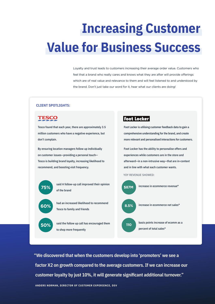# **Increasing Customer Value for Business Success**

Loyalty and trust leads to customers increasing their average order value. Customers who feel that a brand who really cares and knows what they are after will provide offerings which are of real value and relevance to them and will feel listened to and understood by the brand. Don't just take our word for it, hear what our clients are doing!

#### **CLIENT SPOTLIGHTS:**



to shop more frequently

percent of total sales\*

**"We discovered that when the customers develop into 'promoters' we see a factor X2 on growth compared to the average customers. If we can increase our customer loyalty by just 10%, it will generate significant additional turnover."**

**ANDERS NORMAN, DIRECTOR OF CUSTOMER EXPERIENCE, DSV**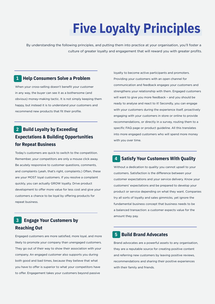# **Five Loyalty Principles**

By understanding the following principles, and putting them into practice at your organisation, you'll foster a culture of greater loyalty and engagement that will reward you with greater profits.

### **1 Help Consumers Solve a Problem**

When your cross-selling doesn't benefit your customer in any way, the buyer can see it as a bothersome (and obvious) money-making tactic. It is not simply keeping them happy, but instead it is to understand your customers and recommend new products that fit their profile.

# **2 Build Loyalty by Exceeding Expectations & Building Opportunities for Repeat Business**

Today's customers are quick to switch to the competition. Remember, your competitors are only a mouse click away. Be acutely responsive to customer questions, comments, and complaints (yeah, that's right, complaints.) Often, these are your MOST loyal customers. If you resolve a complaint quickly, you can actually GROW loyalty. Drive product development to offer more value for less cost and give your customers a chance to be loyal by offering products for repeat business.

# **3 Engage Your Customers by Reaching Out**

Engaged customers are more satisfied, more loyal, and more likely to promote your company than unengaged customers. They go out of their way to show their association with your company. An engaged customer also supports you during both good and bad times, because they believe that what you have to offer is superior to what your competitors have to offer. Engagement takes your customers beyond passive

loyalty to become active participants and promoters. Providing your customers with an open channel for communication and feedback engages your customers and strengthens your relationship with them. Engaged customers will want to give you more feedback - and you should be ready to analyse and react to it! Secondly, you can engage with your customers during the experience itself, proactively engaging with your customers in store or online to provide recommendations, or directly in a survey, routing them to a specific FAQ page or product guideline. All this translates into more engaged customers who will spend more money with you over time.

## **4 Satisfy Your Customers With Quality**

Without a dedication to quality you cannot upsell to your customers. Satisfaction is the difference between your customer expectations and your service delivery. Know your customers' expectations and be prepared to develop your product or service depending on what they want. Companies try all sorts of loyalty and sales gimmicks, yet ignore the fundamental business concept that business needs to be a balanced transaction: a customer expects value for the amount they pay.

### **5 Build Brand Advocates**

Brand advocates are a powerful assets to any organisation, they are a reputable source for creating positive content and referring new customers by leaving positive reviews, recommendations and sharing their positive experiences with their family and friends.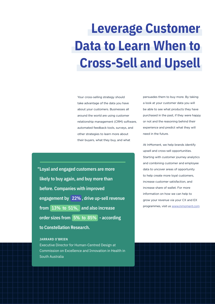# **Leverage Customer Data to Learn When to Cross-Sell and Upsell**

Your cross-selling strategy should take advantage of the data you have about your customers. Businesses all around the world are using customer relationship management (CRM) software, automated feedback tools, surveys, and other strategies to learn more about their buyers, what they buy, and what

**"Loyal and engaged customers are more likely to buy again, and buy more than before. Companies with improved engagement by 22% , drive up-sell revenue from 13% to 51%, and also increase order sizes from 5% to 85% - according to Constellation Research.**

### **JARRARD O'BRIEN**

Executive Director for Human-Centred Design at Commission on Excellence and Innovation in Health in South Australia

persuades them to buy more. By taking a look at your customer data you will be able to see what products they have purchased in the past, if they were happy or not and the reasoning behind their experience and predict what they will need in the future.

At InMoment, we help brands identify upsell and cross-sell opportunities. Starting with customer journey analytics and combining customer and employee data to uncover areas of opportunity to help create more loyal customers, increase customer satisfaction, and increase share of wallet. For more information on how we can help to grow your revenue via your CX and EX programmes, visit us www.inmoment.com